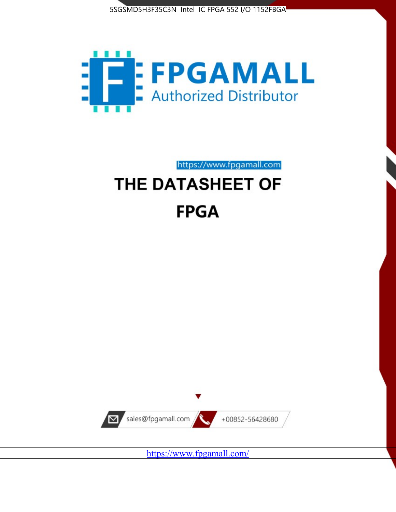



https://www.fpgamall.com

# THE DATASHEET OF **FPGA**



<https://www.fpgamall.com/>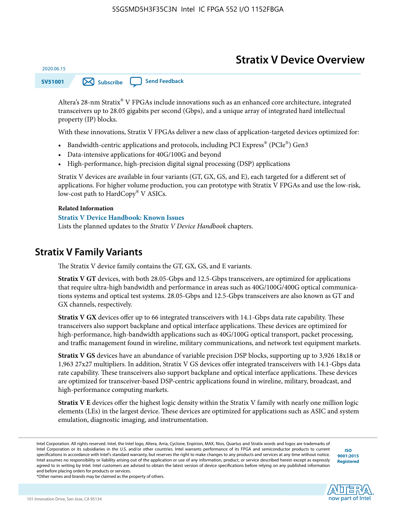# **Stratix V Device Overview**

**SV51001 [Subscribe](https://www.altera.com/servlets/subscriptions/alert?id=SV51001) [Send Feedback](mailto:FPGAtechdocfeedback@intel.com?subject=Feedback%20on%20(SV51001%202020.06.15)%20Stratix%20V%20Device%20Overview&body=We%20appreciate%20your%20feedback.%20In%20your%20comments,%20also%20specify%20the%20page%20number%20or%20paragraph.%20Thank%20you.)** 

Altera's 28-nm Stratix® V FPGAs include innovations such as an enhanced core architecture, integrated transceivers up to 28.05 gigabits per second (Gbps), and a unique array of integrated hard intellectual property (IP) blocks.

With these innovations, Stratix V FPGAs deliver a new class of application-targeted devices optimized for:

- Bandwidth-centric applications and protocols, including PCI Express® (PCIe®) Gen3
- Data-intensive applications for 40G/100G and beyond
- High-performance, high-precision digital signal processing (DSP) applications

Stratix V devices are available in four variants (GT, GX, GS, and E), each targeted for a different set of applications. For higher volume production, you can prototype with Stratix V FPGAs and use the low-risk, low-cost path to HardCopy® V ASICs.

#### **Related Information**

2020.06.15

#### **[Stratix V Device Handbook: Known Issues](http://www.altera.com/support/kdb/solutions/rd08242010_83.html)**

Lists the planned updates to the *Stratix V Device Handbook* chapters.

### **Stratix V Family Variants**

The Stratix V device family contains the GT, GX, GS, and E variants.

**Stratix V GT** devices, with both 28.05-Gbps and 12.5-Gbps transceivers, are optimized for applications that require ultra-high bandwidth and performance in areas such as 40G/100G/400G optical communica‐ tions systems and optical test systems. 28.05-Gbps and 12.5-Gbps transceivers are also known as GT and GX channels, respectively.

**Stratix V GX** devices offer up to 66 integrated transceivers with 14.1-Gbps data rate capability. These transceivers also support backplane and optical interface applications. These devices are optimized for high-performance, high-bandwidth applications such as 40G/100G optical transport, packet processing, and traffic management found in wireline, military communications, and network test equipment markets.

**Stratix V GS** devices have an abundance of variable precision DSP blocks, supporting up to 3,926 18x18 or 1,963 27x27 multipliers. In addition, Stratix V GS devices offer integrated transceivers with 14.1-Gbps data rate capability. These transceivers also support backplane and optical interface applications. These devices are optimized for transceiver-based DSP-centric applications found in wireline, military, broadcast, and high-performance computing markets.

**Stratix V E** devices offer the highest logic density within the Stratix V family with nearly one million logic elements (LEs) in the largest device. These devices are optimized for applications such as ASIC and system emulation, diagnostic imaging, and instrumentation.

**[ISO](http://www.altera.com/support/devices/reliability/certifications/rel-certifications.html) [9001:2015](http://www.altera.com/support/devices/reliability/certifications/rel-certifications.html) [Registered](http://www.altera.com/support/devices/reliability/certifications/rel-certifications.html)**

**now part of Intel** 

\*Other names and brands may be claimed as the property of others.

Intel Corporation. All rights reserved. Intel, the Intel logo, Altera, Arria, Cyclone, Enpirion, MAX, Nios, Quartus and Stratix words and logos are trademarks of Intel Corporation or its subsidiaries in the U.S. and/or other countries. Intel warrants performance of its FPGA and semiconductor products to current specifications in accordance with Intel's standard warranty, but reserves the right to make changes to any products and services at any time without notice. Intel assumes no responsibility or liability arising out of the application or use of any information, product, or service described herein except as expressly agreed to in writing by Intel. Intel customers are advised to obtain the latest version of device specifications before relying on any published information and before placing orders for products or services.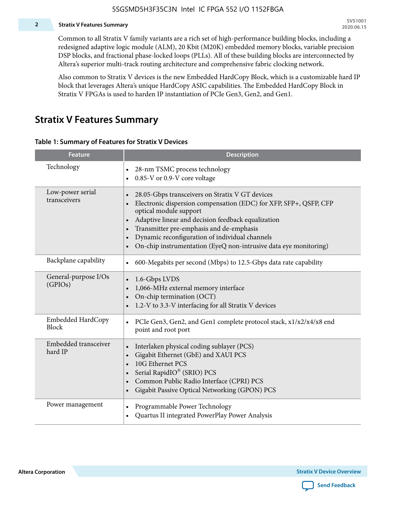#### **2 Stratix V Features Summary**

Common to all Stratix V family variants are a rich set of high-performance building blocks, including a redesigned adaptive logic module (ALM), 20 Kbit (M20K) embedded memory blocks, variable precision DSP blocks, and fractional phase-locked loops (PLLs). All of these building blocks are interconnected by Altera's superior multi-track routing architecture and comprehensive fabric clocking network.

Also common to Stratix V devices is the new Embedded HardCopy Block, which is a customizable hard IP block that leverages Altera's unique HardCopy ASIC capabilities. The Embedded HardCopy Block in Stratix V FPGAs is used to harden IP instantiation of PCIe Gen3, Gen2, and Gen1.

### **Stratix V Features Summary**

#### **Table 1: Summary of Features for Stratix V Devices**

| <b>Feature</b>                    | <b>Description</b>                                                                                                                                                                                                                                                                                                                                                                                                         |
|-----------------------------------|----------------------------------------------------------------------------------------------------------------------------------------------------------------------------------------------------------------------------------------------------------------------------------------------------------------------------------------------------------------------------------------------------------------------------|
| Technology                        | 28-nm TSMC process technology<br>0.85-V or 0.9-V core voltage                                                                                                                                                                                                                                                                                                                                                              |
| Low-power serial<br>transceivers  | 28.05-Gbps transceivers on Stratix V GT devices<br>$\bullet$<br>Electronic dispersion compensation (EDC) for XFP, SFP+, QSFP, CFP<br>optical module support<br>Adaptive linear and decision feedback equalization<br>$\bullet$<br>Transmitter pre-emphasis and de-emphasis<br>Dynamic reconfiguration of individual channels<br>$\bullet$<br>On-chip instrumentation (EyeQ non-intrusive data eye monitoring)<br>$\bullet$ |
| Backplane capability              | 600-Megabits per second (Mbps) to 12.5-Gbps data rate capability<br>$\bullet$                                                                                                                                                                                                                                                                                                                                              |
| General-purpose I/Os<br>(GPIOs)   | 1.6-Gbps LVDS<br>1,066-MHz external memory interface<br>$\bullet$<br>On-chip termination (OCT)<br>$\bullet$<br>1.2-V to 3.3-V interfacing for all Stratix V devices                                                                                                                                                                                                                                                        |
| Embedded HardCopy<br><b>Block</b> | PCIe Gen3, Gen2, and Gen1 complete protocol stack, x1/x2/x4/x8 end<br>$\bullet$<br>point and root port                                                                                                                                                                                                                                                                                                                     |
| Embedded transceiver<br>hard IP   | Interlaken physical coding sublayer (PCS)<br>$\bullet$<br>Gigabit Ethernet (GbE) and XAUI PCS<br>$\bullet$<br>10G Ethernet PCS<br>Serial RapidIO® (SRIO) PCS<br>$\bullet$<br>Common Public Radio Interface (CPRI) PCS<br>$\bullet$<br>Gigabit Passive Optical Networking (GPON) PCS<br>$\bullet$                                                                                                                           |
| Power management                  | Programmable Power Technology<br>$\bullet$<br>Quartus II integrated PowerPlay Power Analysis<br>$\bullet$                                                                                                                                                                                                                                                                                                                  |

**Altera Corporation** 

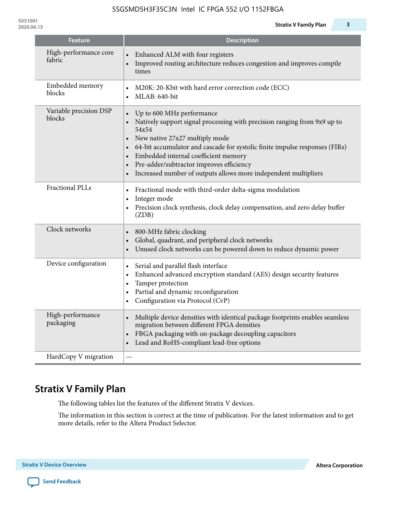**SV51001**

| <b>Feature</b>                   | <b>Description</b>                                                                                                                                                                                                                                                                                                                                                                                                                                      |
|----------------------------------|---------------------------------------------------------------------------------------------------------------------------------------------------------------------------------------------------------------------------------------------------------------------------------------------------------------------------------------------------------------------------------------------------------------------------------------------------------|
| High-performance core<br>fabric  | Enhanced ALM with four registers<br>Improved routing architecture reduces congestion and improves compile<br>times                                                                                                                                                                                                                                                                                                                                      |
| Embedded memory<br>blocks        | M20K: 20-Kbit with hard error correction code (ECC)<br>$\bullet$<br>MLAB: 640-bit<br>$\bullet$                                                                                                                                                                                                                                                                                                                                                          |
| Variable precision DSP<br>blocks | Up to 600 MHz performance<br>$\bullet$<br>Natively support signal processing with precision ranging from 9x9 up to<br>54x54<br>New native 27x27 multiply mode<br>$\bullet$<br>64-bit accumulator and cascade for systolic finite impulse responses (FIRs)<br>$\bullet$<br>Embedded internal coefficient memory<br>$\bullet$<br>Pre-adder/subtractor improves efficiency<br>$\bullet$<br>Increased number of outputs allows more independent multipliers |
| <b>Fractional PLLs</b>           | Fractional mode with third-order delta-sigma modulation<br>$\bullet$<br>Integer mode<br>$\bullet$<br>Precision clock synthesis, clock delay compensation, and zero delay buffer<br>$\bullet$<br>(ZDB)                                                                                                                                                                                                                                                   |
| Clock networks                   | 800-MHz fabric clocking<br>$\bullet$<br>Global, quadrant, and peripheral clock networks<br>$\bullet$<br>Unused clock networks can be powered down to reduce dynamic power                                                                                                                                                                                                                                                                               |
| Device configuration             | Serial and parallel flash interface<br>$\bullet$<br>Enhanced advanced encryption standard (AES) design security features<br>$\bullet$<br>Tamper protection<br>$\bullet$<br>Partial and dynamic reconfiguration<br>$\bullet$<br>Configuration via Protocol (CvP)<br>$\bullet$                                                                                                                                                                            |
| High-performance<br>packaging    | Multiple device densities with identical package footprints enables seamless<br>$\bullet$<br>migration between different FPGA densities<br>FBGA packaging with on-package decoupling capacitors<br>$\bullet$<br>Lead and RoHS-compliant lead-free options<br>$\bullet$                                                                                                                                                                                  |
| HardCopy V migration             |                                                                                                                                                                                                                                                                                                                                                                                                                                                         |

# **Stratix V Family Plan**

The following tables list the features of the different Stratix V devices.

The information in this section is correct at the time of publication. For the latest information and to get more details, refer to the Altera Product Selector.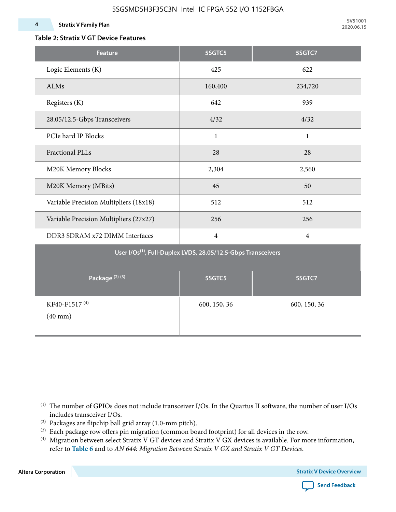### **Table 2: Stratix V GT Device Features**

| <b>Feature</b>                            | 5SGTC5                                                                    | 5SGTC7         |
|-------------------------------------------|---------------------------------------------------------------------------|----------------|
| Logic Elements (K)                        | 425                                                                       | 622            |
| ALMs                                      | 160,400                                                                   | 234,720        |
| Registers (K)                             | 642                                                                       | 939            |
| 28.05/12.5-Gbps Transceivers              | 4/32                                                                      | 4/32           |
| PCIe hard IP Blocks                       | $\mathbf{1}$                                                              | $\mathbf{1}$   |
| <b>Fractional PLLs</b>                    | 28                                                                        | 28             |
| M20K Memory Blocks                        | 2,304                                                                     | 2,560          |
| M20K Memory (MBits)                       | 45                                                                        | 50             |
| Variable Precision Multipliers (18x18)    | 512                                                                       | 512            |
| Variable Precision Multipliers (27x27)    | 256                                                                       | 256            |
| DDR3 SDRAM x72 DIMM Interfaces            | $\overline{4}$                                                            | $\overline{4}$ |
|                                           | User I/Os <sup>(1)</sup> , Full-Duplex LVDS, 28.05/12.5-Gbps Transceivers |                |
| Package <sup>(2)</sup> <sup>(3)</sup>     | 5SGTC5                                                                    | 5SGTC7         |
| KF40-F1517 <sup>(4)</sup><br>$(40$ mm $)$ | 600, 150, 36                                                              | 600, 150, 36   |

**Altera Corporation** 



<sup>(1)</sup> The number of GPIOs does not include transceiver I/Os. In the Quartus II software, the number of user I/Os includes transceiver I/Os.

 $^{(2)}$  Packages are flipchip ball grid array (1.0-mm pitch).

<sup>(3)</sup> Each package row offers pin migration (common board footprint) for all devices in the row.

<sup>(4)</sup> Migration between select Stratix V GT devices and Stratix V GX devices is available. For more information, refer to **Table 6** and to *AN 644: Migration Between Stratix V GX and Stratix V GT Devices*.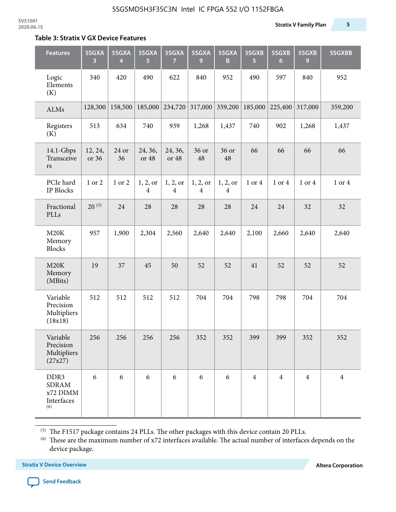#### **Table 3: Stratix V GX Device Features**

| <b>Features</b>                                                   | 5SGXA<br>3       | 5SGXA<br>4  | 5SGXA<br>5                 | 5SGXA<br>7                 | 5SGXA<br>9                 | 5SGXA<br>B                 | 5SGXB<br>5     | 5SGXB<br>$6\phantom{1}6$ | 5SGXB<br>9     | 5SGXBB         |
|-------------------------------------------------------------------|------------------|-------------|----------------------------|----------------------------|----------------------------|----------------------------|----------------|--------------------------|----------------|----------------|
| Logic<br>Elements<br>(K)                                          | 340              | 420         | 490                        | 622                        | 840                        | 952                        | 490            | 597                      | 840            | 952            |
| ALMs                                                              | 128,300          | 158,500     | 185,000                    | 234,720                    | 317,000                    | 359,200                    | 185,000        | 225,400                  | 317,000        | 359,200        |
| Registers<br>(K)                                                  | 513              | 634         | 740                        | 939                        | 1,268                      | 1,437                      | 740            | 902                      | 1,268          | 1,437          |
| $14.1$ -Gbps<br>Transceive<br>rs                                  | 12, 24,<br>or 36 | 24 or<br>36 | 24, 36,<br>or 48           | 24, 36,<br>or 48           | 36 or<br>48                | 36 or<br>48                | 66             | 66                       | 66             | 66             |
| PCIe hard<br><b>IP Blocks</b>                                     | 1 or 2           | 1 or 2      | 1, 2, 0r<br>$\overline{4}$ | 1, 2, or<br>$\overline{4}$ | 1, 2, or<br>$\overline{4}$ | 1, 2, or<br>$\overline{4}$ | 1 or 4         | 1 or 4                   | 1 or 4         | 1 or 4         |
| Fractional<br>PLLs                                                | $20^{(5)}$       | 24          | 28                         | 28                         | 28                         | 28                         | 24             | 24                       | 32             | 32             |
| M20K<br>Memory<br><b>Blocks</b>                                   | 957              | 1,900       | 2,304                      | 2,560                      | 2,640                      | 2,640                      | 2,100          | 2,660                    | 2,640          | 2,640          |
| M20K<br>Memory<br>(MBits)                                         | 19               | 37          | 45                         | 50                         | 52                         | 52                         | 41             | 52                       | 52             | 52             |
| Variable<br>Precision<br>Multipliers<br>(18x18)                   | 512              | 512         | 512                        | 512                        | 704                        | 704                        | 798            | 798                      | 704            | 704            |
| Variable<br>Precision<br>Multipliers<br>(27x27)                   | 256              | 256         | 256                        | 256                        | 352                        | 352                        | 399            | 399                      | 352            | 352            |
| DDR <sub>3</sub><br><b>SDRAM</b><br>x72 DIMM<br>Interfaces<br>(6) | 6                | 6           | 6                          | 6                          | 6                          | 6                          | $\overline{4}$ | $\overline{4}$           | $\overline{4}$ | $\overline{4}$ |

 $^{\left(5\right)}$  The F1517 package contains 24 PLLs. The other packages with this device contain 20 PLLs.

(6) These are the maximum number of x72 interfaces available. The actual number of interfaces depends on the device package.

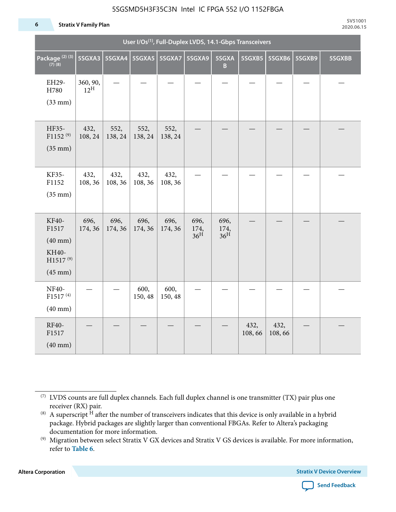#### **6 Stratix V Family Plan**

|                                                                          | User I/Os <sup>(1)</sup> , Full-Duplex LVDS, 14.1-Gbps Transceivers |                          |                 |                 |                                 |                                 |                |                |        |        |  |
|--------------------------------------------------------------------------|---------------------------------------------------------------------|--------------------------|-----------------|-----------------|---------------------------------|---------------------------------|----------------|----------------|--------|--------|--|
| Package <sup>(2)(3)</sup><br>$(7)$ (8)                                   | 5SGXA3                                                              | 5SGXA4   5SGXA5   5SGXA7 |                 |                 | 5SGXA9                          | 5SGXA<br>B                      | 5SGXB5         | 5SGXB6         | 5SGXB9 | 5SGXBB |  |
| EH29-<br>H780<br>$(33$ mm $)$                                            | 360, 90,<br>$12^{\text{H}}$                                         |                          |                 |                 |                                 |                                 |                |                |        |        |  |
| HF35-<br>F1152 <sup>(9)</sup><br>$(35$ mm $)$                            | 432,<br>108, 24                                                     | 552,<br>138, 24          | 552,<br>138, 24 | 552,<br>138, 24 |                                 |                                 |                |                |        |        |  |
| KF35-<br>F1152<br>$(35$ mm $)$                                           | 432,<br>108, 36                                                     | 432,<br>108, 36          | 432,<br>108, 36 | 432,<br>108, 36 |                                 |                                 |                |                |        |        |  |
| KF40-<br>F1517<br>$(40$ mm $)$<br>KH40-<br>$H1517^{(9)}$<br>$(45$ mm $)$ | 696,<br>174, 36                                                     | 696,<br>174, 36          | 696,<br>174, 36 | 696,<br>174, 36 | 696,<br>174,<br>36 <sup>H</sup> | 696,<br>174,<br>36 <sup>H</sup> |                |                |        |        |  |
| NF40-<br>F1517 <sup>(4)</sup><br>$(40 \text{ mm})$                       |                                                                     |                          | 600,<br>150, 48 | 600,<br>150, 48 |                                 |                                 |                |                |        |        |  |
| RF40-<br>F1517<br>$(40$ mm $)$                                           |                                                                     |                          |                 |                 |                                 |                                 | 432,<br>108,66 | 432,<br>108,66 |        |        |  |

**Altera Corporation** 



<sup>(7)</sup> LVDS counts are full duplex channels. Each full duplex channel is one transmitter (TX) pair plus one receiver (RX) pair.

<sup>(8)</sup> A superscript  $H$  after the number of transceivers indicates that this device is only available in a hybrid package. Hybrid packages are slightly larger than conventional FBGAs. Refer to Altera's packaging documentation for more information.

<sup>(9)</sup> Migration between select Stratix V GX devices and Stratix V GS devices is available. For more information, refer to **Table 6**.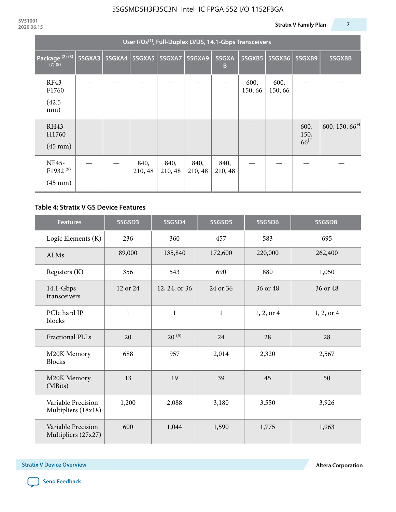|                                                           | User I/Os <sup>(1)</sup> , Full-Duplex LVDS, 14.1-Gbps Transceivers |  |                          |                 |                 |                 |                 |                |                                 |                           |  |  |
|-----------------------------------------------------------|---------------------------------------------------------------------|--|--------------------------|-----------------|-----------------|-----------------|-----------------|----------------|---------------------------------|---------------------------|--|--|
| Package <sup>(2)(3)</sup><br>$(7)$ $(8)$                  | 5SGXA3                                                              |  | 5SGXA4   5SGXA5   5SGXA7 |                 | 5SGXA9          | 5SGXA<br>B      | 5SGXB5          | 5SGXB6         | 5SGXB9                          | 5SGXBB                    |  |  |
| RF43-<br>F1760<br>(42.5)<br>mm)                           |                                                                     |  |                          |                 |                 |                 | 600,<br>150, 66 | 600,<br>150,66 |                                 |                           |  |  |
| RH43-<br>H1760<br>$(45 \text{ mm})$                       |                                                                     |  |                          |                 |                 |                 |                 |                | 600,<br>150,<br>66 <sup>H</sup> | 600, 150, 66 <sup>H</sup> |  |  |
| <b>NF45-</b><br>F1932 <sup>(9)</sup><br>$(45 \text{ mm})$ |                                                                     |  | 840,<br>210, 48          | 840,<br>210, 48 | 840,<br>210, 48 | 840,<br>210, 48 |                 |                |                                 |                           |  |  |

### **Table 4: Stratix V GS Device Features**

| <b>Features</b>                           | 5SGSD3         | 5SGSD4        | 5SGSD5       | 5SGSD6     | 5SGSD8     |
|-------------------------------------------|----------------|---------------|--------------|------------|------------|
| Logic Elements (K)                        | 236            | 360           | 457          | 583        | 695        |
| <b>ALMs</b>                               | 89,000         | 135,840       | 172,600      | 220,000    | 262,400    |
| Registers (K)                             | 356            | 543           | 690<br>880   |            | 1,050      |
| $14.1$ -Gbps<br>transceivers              | 12 or 24       | 12, 24, or 36 | 24 or 36     | 36 or 48   | 36 or 48   |
| PCIe hard IP<br>blocks                    | $\mathbf{1}$   |               | $\mathbf{1}$ | 1, 2, or 4 | 1, 2, or 4 |
| <b>Fractional PLLs</b>                    | 20             | $20^{(5)}$    | 24           | 28         | 28         |
| M20K Memory<br><b>Blocks</b>              | 688            | 957           | 2,014        | 2,320      | 2,567      |
| M20K Memory<br>(MBits)                    | 13             |               | 39           | 45         | 50         |
| Variable Precision<br>Multipliers (18x18) | 1,200<br>2,088 |               | 3,180        | 3,550      | 3,926      |
| Variable Precision<br>Multipliers (27x27) | 600            | 1,044         | 1,590        | 1,775      | 1,963      |

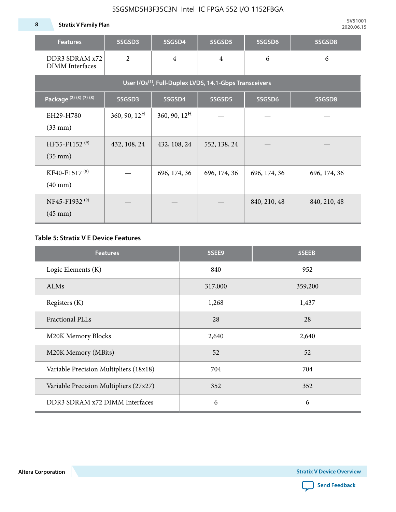**8 Stratix V Family Plan**

| <b>Features</b>                                                     | 5SGSD3                   | 5SGSD4                   | 5SGSD5         | 5SGSD6       | 5SGSD8       |  |  |  |  |
|---------------------------------------------------------------------|--------------------------|--------------------------|----------------|--------------|--------------|--|--|--|--|
| DDR3 SDRAM x72<br><b>DIMM</b> Interfaces                            | $\overline{2}$           | $\overline{4}$           | $\overline{4}$ | 6            | 6            |  |  |  |  |
| User I/Os <sup>(1)</sup> , Full-Duplex LVDS, 14.1-Gbps Transceivers |                          |                          |                |              |              |  |  |  |  |
| Package (2) (3) (7) (8)                                             | 5SGSD3                   | 5SGSD4                   | 5SGSD5         | 5SGSD6       | 5SGSD8       |  |  |  |  |
| EH29-H780<br>$(33$ mm $)$                                           | $360, 90, 12^{\text{H}}$ | $360, 90, 12^{\text{H}}$ |                |              |              |  |  |  |  |
| HF35-F1152 <sup>(9)</sup><br>$(35 \text{ mm})$                      | 432, 108, 24             | 432, 108, 24             | 552, 138, 24   |              |              |  |  |  |  |
| KF40-F1517 <sup>(9)</sup><br>$(40 \text{ mm})$                      |                          | 696, 174, 36             | 696, 174, 36   | 696, 174, 36 | 696, 174, 36 |  |  |  |  |
| NF45-F1932 <sup>(9)</sup><br>$(45 \text{ mm})$                      |                          |                          |                | 840, 210, 48 | 840, 210, 48 |  |  |  |  |

### **Table 5: Stratix V E Device Features**

| <b>Features</b>                        | 5SEE9   | 5SEEB   |
|----------------------------------------|---------|---------|
| Logic Elements (K)                     | 840     | 952     |
| ALMs                                   | 317,000 | 359,200 |
| Registers (K)                          | 1,268   | 1,437   |
| <b>Fractional PLLs</b>                 | 28      | 28      |
| M20K Memory Blocks                     | 2,640   | 2,640   |
| M20K Memory (MBits)                    | 52      | 52      |
| Variable Precision Multipliers (18x18) | 704     | 704     |
| Variable Precision Multipliers (27x27) | 352     | 352     |
| DDR3 SDRAM x72 DIMM Interfaces         | 6       | 6       |

**Altera Corporation** 

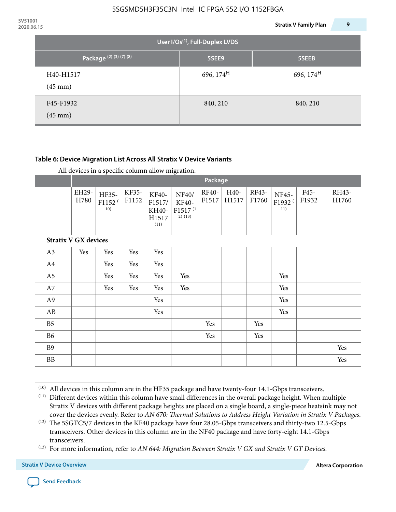| 2020.06.15 |                                    |                                             | <b>Stratix V Family Plan</b> | 9 |
|------------|------------------------------------|---------------------------------------------|------------------------------|---|
|            |                                    | User I/Os <sup>(1)</sup> , Full-Duplex LVDS |                              |   |
|            | Package <sup>(2)</sup> (3) (7) (8) | 5SEE9                                       | 5SEEB                        |   |
|            | H40-H1517<br>$(45 \text{ mm})$     | 696, $174^H$                                | 696, $174^{\text{H}}$        |   |
|            | F45-F1932<br>$(45 \text{ mm})$     | 840, 210                                    | 840, 210                     |   |

### **Table 6: Device Migration List Across All Stratix V Device Variants**

|  |  | All devices in a specific column allow migration. |
|--|--|---------------------------------------------------|
|--|--|---------------------------------------------------|

|                             |               | Package                            |                |                                           |                                                    |                       |               |                |                                    |               |                |
|-----------------------------|---------------|------------------------------------|----------------|-------------------------------------------|----------------------------------------------------|-----------------------|---------------|----------------|------------------------------------|---------------|----------------|
|                             | EH29-<br>H780 | HF35-<br>F1152 <sup>(</sup><br>10) | KF35-<br>F1152 | KF40-<br>F1517/<br>KH40-<br>H1517<br>(11) | NF40/<br>KF40-<br>F1517 <sup>(1</sup><br>$2)$ (13) | <b>RF40-</b><br>F1517 | H40-<br>H1517 | RF43-<br>F1760 | NF45-<br>F1932 <sup>(</sup><br>11) | F45-<br>F1932 | RH43-<br>H1760 |
| <b>Stratix V GX devices</b> |               |                                    |                |                                           |                                                    |                       |               |                |                                    |               |                |
| A3                          | Yes           | Yes                                | Yes            | Yes                                       |                                                    |                       |               |                |                                    |               |                |
| A4                          |               | Yes                                | Yes            | Yes                                       |                                                    |                       |               |                |                                    |               |                |
| A <sub>5</sub>              |               | Yes                                | Yes            | Yes                                       | Yes                                                |                       |               |                | Yes                                |               |                |
| A7                          |               | Yes                                | Yes            | Yes                                       | Yes                                                |                       |               |                | Yes                                |               |                |
| A9                          |               |                                    |                | Yes                                       |                                                    |                       |               |                | Yes                                |               |                |
| AB                          |               |                                    |                | Yes                                       |                                                    |                       |               |                | Yes                                |               |                |
| B <sub>5</sub>              |               |                                    |                |                                           |                                                    | Yes                   |               | Yes            |                                    |               |                |
| <b>B6</b>                   |               |                                    |                |                                           |                                                    | Yes                   |               | Yes            |                                    |               |                |
| <b>B9</b>                   |               |                                    |                |                                           |                                                    |                       |               |                |                                    |               | Yes            |
| <b>BB</b>                   |               |                                    |                |                                           |                                                    |                       |               |                |                                    |               | Yes            |

 $(10)$  All devices in this column are in the HF35 package and have twenty-four 14.1-Gbps transceivers.



<sup>(11)</sup> Different devices within this column have small differences in the overall package height. When multiple Stratix V devices with different package heights are placed on a single board, a single-piece heatsink may not cover the devices evenly. Refer to *AN 670: Thermal Solutions to Address Height Variation in Stratix V Packages*.

<sup>(12)</sup> The 5SGTC5/7 devices in the KF40 package have four 28.05-Gbps transceivers and thirty-two 12.5-Gbps transceivers. Other devices in this column are in the NF40 package and have forty-eight 14.1-Gbps transceivers.

<sup>(13)</sup> For more information, refer to *AN 644: Migration Between Stratix V GX and Stratix V GT Devices*.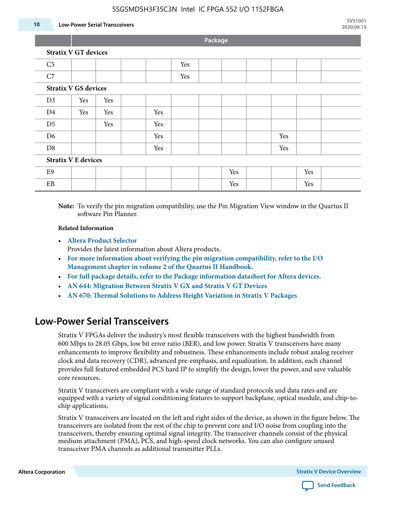#### **10 Low-Power Serial Transceivers**

**Package**

| C <sub>5</sub>             |                             |     |  | Yes |  |     |     |     |  |
|----------------------------|-----------------------------|-----|--|-----|--|-----|-----|-----|--|
| C7                         |                             |     |  | Yes |  |     |     |     |  |
|                            | <b>Stratix V GS devices</b> |     |  |     |  |     |     |     |  |
| D3                         | Yes                         | Yes |  |     |  |     |     |     |  |
| D <sub>4</sub>             | Yes                         | Yes |  | Yes |  |     |     |     |  |
| D <sub>5</sub>             |                             | Yes |  | Yes |  |     |     |     |  |
| D <sub>6</sub>             |                             |     |  | Yes |  |     | Yes |     |  |
| D <sub>8</sub>             |                             |     |  | Yes |  |     | Yes |     |  |
| <b>Stratix V E devices</b> |                             |     |  |     |  |     |     |     |  |
| E <sub>9</sub>             |                             |     |  |     |  | Yes |     | Yes |  |
| EB                         |                             |     |  |     |  | Yes |     | Yes |  |

**Note:** To verify the pin migration compatibility, use the Pin Migration View window in the Quartus II software Pin Planner.

#### **Related Information**

• **[Altera Product Selector](http://www.altera.com/products/selector/psg-selector.html#)**

Provides the latest information about Altera products.

- **[For more information about verifying the pin migration compatibility, refer to the I/O](http://www.altera.com/literature/hb/qts/qts_qii52013.pdf) [Management chapter in volume 2 of the Quartus II Handbook.](http://www.altera.com/literature/hb/qts/qts_qii52013.pdf)**
- **[For full package details, refer to the Package information datasheet for Altera devices.](http://www.altera.com/support/devices/packaging/specifications/pkg-pin/spe-index.jsp)**
- **[AN 644: Migration Between Stratix V GX and Stratix V GT Devices](http://www.altera.com/literature/an/an644.pdf)**
- **[AN 670: Thermal Solutions to Address Height Variation in Stratix V Packages](http://www.altera.com/literature/an/an670.pdf)**

### **Low-Power Serial Transceivers**

Stratix V FPGAs deliver the industry's most flexible transceivers with the highest bandwidth from 600 Mbps to 28.05 Gbps, low bit error ratio (BER), and low power. Stratix V transceivers have many enhancements to improve flexibility and robustness. These enhancements include robust analog receiver clock and data recovery (CDR), advanced pre-emphasis, and equalization. In addition, each channel provides full featured embedded PCS hard IP to simplify the design, lower the power, and save valuable core resources.

Stratix V transceivers are compliant with a wide range of standard protocols and data rates and are equipped with a variety of signal conditioning features to support backplane, optical module, and chip-tochip applications.

Stratix V transceivers are located on the left and right sides of the device, as shown in the figure below. The transceivers are isolated from the rest of the chip to prevent core and I/O noise from coupling into the transceivers, thereby ensuring optimal signal integrity. The transceiver channels consist of the physical medium attachment (PMA), PCS, and high-speed clock networks. You can also configure unused transceiver PMA channels as additional transmitter PLLs.

**Altera Corporation Stratix V Device Overview**

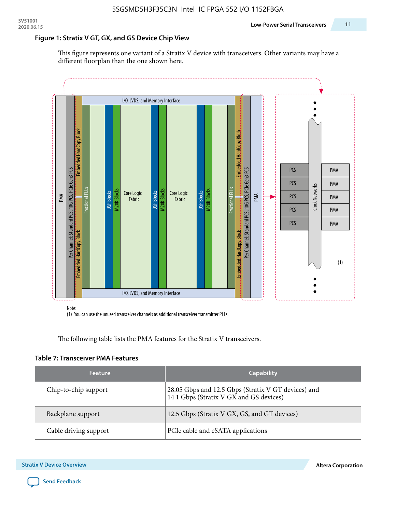#### **Figure 1: Stratix V GT, GX, and GS Device Chip View**

This figure represents one variant of a Stratix V device with transceivers. Other variants may have a different floorplan than the one shown here.



(1) You can use the unused transceiver channels as additional transceiver transmitter PLLs.

The following table lists the PMA features for the Stratix V transceivers.

#### **Table 7: Transceiver PMA Features**

| <b>Feature</b>        | <b>Capability</b>                                                                              |
|-----------------------|------------------------------------------------------------------------------------------------|
| Chip-to-chip support  | 28.05 Gbps and 12.5 Gbps (Stratix V GT devices) and<br>14.1 Gbps (Stratix V GX and GS devices) |
| Backplane support     | 12.5 Gbps (Stratix V GX, GS, and GT devices)                                                   |
| Cable driving support | PCIe cable and eSATA applications                                                              |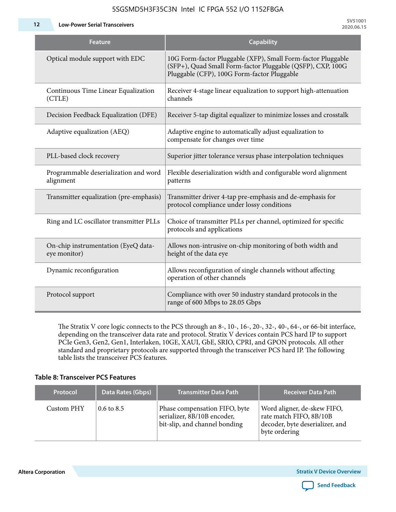**12 Low-Power Serial Transceivers**

| <b>Feature</b>                                      | <b>Capability</b>                                                                                                                                                         |
|-----------------------------------------------------|---------------------------------------------------------------------------------------------------------------------------------------------------------------------------|
| Optical module support with EDC                     | 10G Form-factor Pluggable (XFP), Small Form-factor Pluggable<br>(SFP+), Quad Small Form-factor Pluggable (QSFP), CXP, 100G<br>Pluggable (CFP), 100G Form-factor Pluggable |
| Continuous Time Linear Equalization<br>(CTLE)       | Receiver 4-stage linear equalization to support high-attenuation<br>channels                                                                                              |
| Decision Feedback Equalization (DFE)                | Receiver 5-tap digital equalizer to minimize losses and crosstalk                                                                                                         |
| Adaptive equalization (AEQ)                         | Adaptive engine to automatically adjust equalization to<br>compensate for changes over time                                                                               |
| PLL-based clock recovery                            | Superior jitter tolerance versus phase interpolation techniques                                                                                                           |
| Programmable deserialization and word<br>alignment  | Flexible deserialization width and configurable word alignment<br>patterns                                                                                                |
| Transmitter equalization (pre-emphasis)             | Transmitter driver 4-tap pre-emphasis and de-emphasis for<br>protocol compliance under lossy conditions                                                                   |
| Ring and LC oscillator transmitter PLLs             | Choice of transmitter PLLs per channel, optimized for specific<br>protocols and applications                                                                              |
| On-chip instrumentation (EyeQ data-<br>eye monitor) | Allows non-intrusive on-chip monitoring of both width and<br>height of the data eye                                                                                       |
| Dynamic reconfiguration                             | Allows reconfiguration of single channels without affecting<br>operation of other channels                                                                                |
| Protocol support                                    | Compliance with over 50 industry standard protocols in the<br>range of 600 Mbps to 28.05 Gbps                                                                             |

The Stratix V core logic connects to the PCS through an 8-, 10-, 16-, 20-, 32-, 40-, 64-, or 66-bit interface, depending on the transceiver data rate and protocol. Stratix V devices contain PCS hard IP to support PCIe Gen3, Gen2, Gen1, Interlaken, 10GE, XAUI, GbE, SRIO, CPRI, and GPON protocols. All other standard and proprietary protocols are supported through the transceiver PCS hard IP. The following table lists the transceiver PCS features.

#### **Table 8: Transceiver PCS Features**

| <b>Protocol</b> | Data Rates (Gbps)     | <b>Transmitter Data Path</b>                                                                  | <b>Receiver Data Path</b>                                                                                  |
|-----------------|-----------------------|-----------------------------------------------------------------------------------------------|------------------------------------------------------------------------------------------------------------|
| Custom PHY      | $0.6 \text{ to } 8.5$ | Phase compensation FIFO, byte<br>serializer, 8B/10B encoder,<br>bit-slip, and channel bonding | Word aligner, de-skew FIFO,<br>rate match FIFO, 8B/10B<br>decoder, byte deserializer, and<br>byte ordering |

**Altera Corporation** 

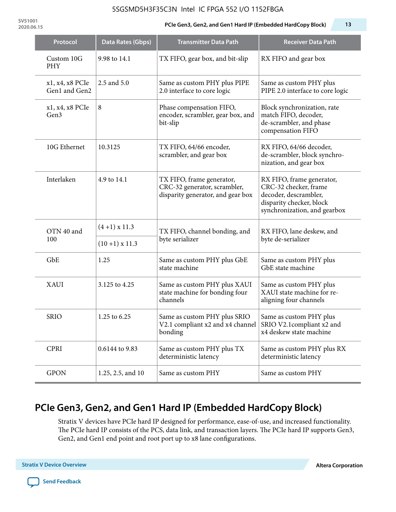**SV51001**

#### **2020.06.15 PCIe Gen3, Gen2, and Gen1 Hard IP (Embedded HardCopy Block) 13**

| Protocol                         | Data Rates (Gbps)    | <b>Transmitter Data Path</b>                                                                   | <b>Receiver Data Path</b>                                                                                                               |  |
|----------------------------------|----------------------|------------------------------------------------------------------------------------------------|-----------------------------------------------------------------------------------------------------------------------------------------|--|
| Custom 10G<br><b>PHY</b>         | 9.98 to 14.1         | TX FIFO, gear box, and bit-slip                                                                | RX FIFO and gear box                                                                                                                    |  |
| x1, x4, x8 PCIe<br>Gen1 and Gen2 | 2.5 and 5.0          | Same as custom PHY plus PIPE<br>2.0 interface to core logic                                    | Same as custom PHY plus<br>PIPE 2.0 interface to core logic                                                                             |  |
| x1, x4, x8 PCIe<br>Gen3          | 8                    | Phase compensation FIFO,<br>encoder, scrambler, gear box, and<br>bit-slip                      | Block synchronization, rate<br>match FIFO, decoder,<br>de-scrambler, and phase<br>compensation FIFO                                     |  |
| 10G Ethernet                     | 10.3125              | TX FIFO, 64/66 encoder,<br>scrambler, and gear box                                             | RX FIFO, 64/66 decoder,<br>de-scrambler, block synchro-<br>nization, and gear box                                                       |  |
| Interlaken                       | 4.9 to 14.1          | TX FIFO, frame generator,<br>CRC-32 generator, scrambler,<br>disparity generator, and gear box | RX FIFO, frame generator,<br>CRC-32 checker, frame<br>decoder, descrambler,<br>disparity checker, block<br>synchronization, and gearbox |  |
| OTN 40 and                       | $(4+1)$ x 11.3       | TX FIFO, channel bonding, and                                                                  | RX FIFO, lane deskew, and                                                                                                               |  |
| 100                              | $(10+1) \times 11.3$ | byte serializer                                                                                | byte de-serializer                                                                                                                      |  |
| GbE                              | 1.25                 | Same as custom PHY plus GbE<br>state machine                                                   | Same as custom PHY plus<br>GbE state machine                                                                                            |  |
| XAUI                             | 3.125 to 4.25        | Same as custom PHY plus XAUI<br>state machine for bonding four<br>channels                     | Same as custom PHY plus<br>XAUI state machine for re-<br>aligning four channels                                                         |  |
| <b>SRIO</b>                      | 1.25 to 6.25         | Same as custom PHY plus SRIO<br>V2.1 compliant x2 and x4 channel<br>bonding                    | Same as custom PHY plus<br>SRIO V2.1compliant x2 and<br>x4 deskew state machine                                                         |  |
| <b>CPRI</b>                      | 0.6144 to 9.83       | Same as custom PHY plus TX<br>deterministic latency                                            | Same as custom PHY plus RX<br>deterministic latency                                                                                     |  |
| <b>GPON</b>                      | 1.25, 2.5, and 10    | Same as custom PHY                                                                             | Same as custom PHY                                                                                                                      |  |

# **PCIe Gen3, Gen2, and Gen1 Hard IP (Embedded HardCopy Block)**

Stratix V devices have PCIe hard IP designed for performance, ease-of-use, and increased functionality. The PCIe hard IP consists of the PCS, data link, and transaction layers. The PCIe hard IP supports Gen3, Gen2, and Gen1 end point and root port up to x8 lane configurations.

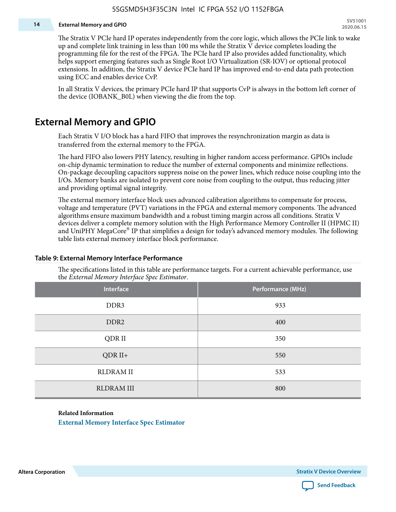#### **14 External Memory and GPIO**

The Stratix V PCIe hard IP operates independently from the core logic, which allows the PCIe link to wake up and complete link training in less than 100 ms while the Stratix V device completes loading the programming file for the rest of the FPGA. The PCIe hard IP also provides added functionality, which helps support emerging features such as Single Root I/O Virtualization (SR-IOV) or optional protocol extensions. In addition, the Stratix V device PCIe hard IP has improved end-to-end data path protection using ECC and enables device CvP.

In all Stratix V devices, the primary PCIe hard IP that supports CvP is always in the bottom left corner of the device (IOBANK\_B0L) when viewing the die from the top.

### **External Memory and GPIO**

Each Stratix V I/O block has a hard FIFO that improves the resynchronization margin as data is transferred from the external memory to the FPGA.

The hard FIFO also lowers PHY latency, resulting in higher random access performance. GPIOs include on-chip dynamic termination to reduce the number of external components and minimize reflections. On-package decoupling capacitors suppress noise on the power lines, which reduce noise coupling into the I/Os. Memory banks are isolated to prevent core noise from coupling to the output, thus reducing jitter and providing optimal signal integrity.

The external memory interface block uses advanced calibration algorithms to compensate for process, voltage and temperature (PVT) variations in the FPGA and external memory components. The advanced algorithms ensure maximum bandwidth and a robust timing margin across all conditions. Stratix V devices deliver a complete memory solution with the High Performance Memory Controller II (HPMC II) and UniPHY MegaCore® IP that simplifies a design for today's advanced memory modules. The following table lists external memory interface block performance.

| Interface         | Performance (MHz) |
|-------------------|-------------------|
| DDR3              | 933               |
| DDR <sub>2</sub>  | 400               |
| QDR II            | 350               |
| $QDR II+$         | 550               |
| <b>RLDRAM II</b>  | 533               |
| <b>RLDRAM III</b> | 800               |

#### **Table 9: External Memory Interface Performance**

The specifications listed in this table are performance targets. For a current achievable performance, use the *External Memory Interface Spec Estimator*.

#### **Related Information**

**[External Memory Interface Spec Estimator](http://www.altera.com/technology/memory/estimator/mem-emif-index.html)**

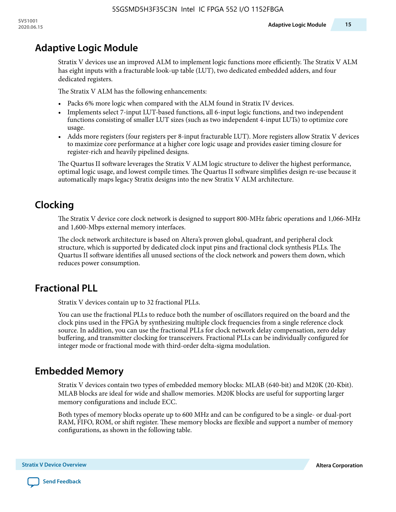# **Adaptive Logic Module**

Stratix V devices use an improved ALM to implement logic functions more efficiently. The Stratix V ALM has eight inputs with a fracturable look-up table (LUT), two dedicated embedded adders, and four dedicated registers.

The Stratix V ALM has the following enhancements:

- Packs 6% more logic when compared with the ALM found in Stratix IV devices.
- Implements select 7-input LUT-based functions, all 6-input logic functions, and two independent functions consisting of smaller LUT sizes (such as two independent 4-input LUTs) to optimize core usage.
- Adds more registers (four registers per 8-input fracturable LUT). More registers allow Stratix V devices to maximize core performance at a higher core logic usage and provides easier timing closure for register-rich and heavily pipelined designs.

The Quartus II software leverages the Stratix V ALM logic structure to deliver the highest performance, optimal logic usage, and lowest compile times. The Quartus II software simplifies design re-use because it automatically maps legacy Stratix designs into the new Stratix V ALM architecture.

# **Clocking**

The Stratix V device core clock network is designed to support 800-MHz fabric operations and 1,066-MHz and 1,600-Mbps external memory interfaces.

The clock network architecture is based on Altera's proven global, quadrant, and peripheral clock structure, which is supported by dedicated clock input pins and fractional clock synthesis PLLs. The Quartus II software identifies all unused sections of the clock network and powers them down, which reduces power consumption.

# **Fractional PLL**

Stratix V devices contain up to 32 fractional PLLs.

You can use the fractional PLLs to reduce both the number of oscillators required on the board and the clock pins used in the FPGA by synthesizing multiple clock frequencies from a single reference clock source. In addition, you can use the fractional PLLs for clock network delay compensation, zero delay buffering, and transmitter clocking for transceivers. Fractional PLLs can be individually configured for integer mode or fractional mode with third-order delta-sigma modulation.

# **Embedded Memory**

Stratix V devices contain two types of embedded memory blocks: MLAB (640-bit) and M20K (20-Kbit). MLAB blocks are ideal for wide and shallow memories. M20K blocks are useful for supporting larger memory configurations and include ECC.

Both types of memory blocks operate up to 600 MHz and can be configured to be a single- or dual-port RAM, FIFO, ROM, or shift register. These memory blocks are flexible and support a number of memory configurations, as shown in the following table.

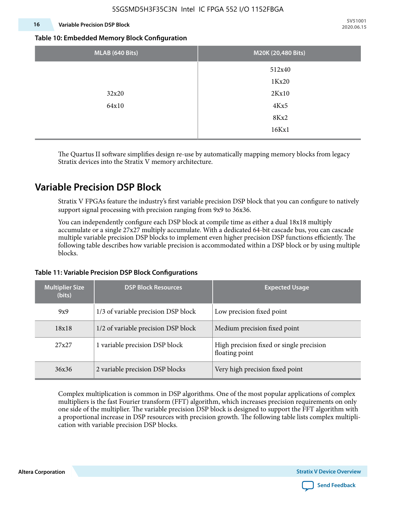#### **16 Variable Precision DSP Block**

**SV51001 2020.06.15**

#### **Table 10: Embedded Memory Block Configuration**

| MLAB (640 Bits) | M20K (20,480 Bits) |
|-----------------|--------------------|
|                 | 512x40             |
|                 | 1Kx20              |
| 32x20           | 2Kx10              |
| 64x10           | 4Kx5               |
|                 | 8Kx2               |
|                 | 16Kx1              |

The Quartus II software simplifies design re-use by automatically mapping memory blocks from legacy Stratix devices into the Stratix V memory architecture.

### **Variable Precision DSP Block**

Stratix V FPGAs feature the industry's first variable precision DSP block that you can configure to natively support signal processing with precision ranging from 9x9 to 36x36.

You can independently configure each DSP block at compile time as either a dual 18x18 multiply accumulate or a single 27x27 multiply accumulate. With a dedicated 64-bit cascade bus, you can cascade multiple variable precision DSP blocks to implement even higher precision DSP functions efficiently. The following table describes how variable precision is accommodated within a DSP block or by using multiple blocks.

| <b>Multiplier Size</b><br>(bits) | <b>DSP Block Resources</b>          | <b>Expected Usage</b>                                      |  |  |
|----------------------------------|-------------------------------------|------------------------------------------------------------|--|--|
| 9x9                              | 1/3 of variable precision DSP block | Low precision fixed point                                  |  |  |
| 18x18                            | 1/2 of variable precision DSP block | Medium precision fixed point                               |  |  |
| 27x27                            | 1 variable precision DSP block      | High precision fixed or single precision<br>floating point |  |  |
| 36x36                            | 2 variable precision DSP blocks     | Very high precision fixed point                            |  |  |

#### **Table 11: Variable Precision DSP Block Configurations**

Complex multiplication is common in DSP algorithms. One of the most popular applications of complex multipliers is the fast Fourier transform (FFT) algorithm, which increases precision requirements on only one side of the multiplier. The variable precision DSP block is designed to support the FFT algorithm with a proportional increase in DSP resources with precision growth. The following table lists complex multipli‐ cation with variable precision DSP blocks.

**Altera Corporation** 

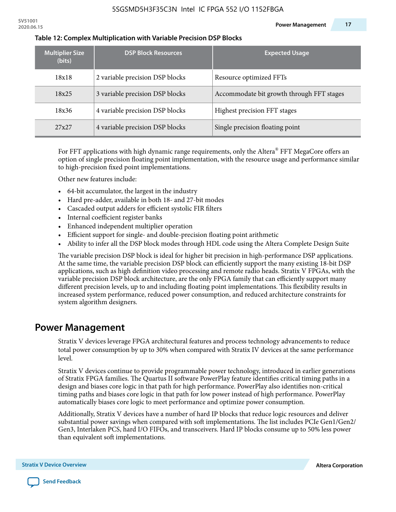| <b>Multiplier Size</b><br>(bits) | <b>DSP Block Resources</b>      | <b>Expected Usage</b>                     |
|----------------------------------|---------------------------------|-------------------------------------------|
| 18x18                            | 2 variable precision DSP blocks | Resource optimized FFTs                   |
| 18x25                            | 3 variable precision DSP blocks | Accommodate bit growth through FFT stages |
| 18x36                            | 4 variable precision DSP blocks | Highest precision FFT stages              |
| 27x27                            | 4 variable precision DSP blocks | Single precision floating point           |

#### **Table 12: Complex Multiplication with Variable Precision DSP Blocks**

For FFT applications with high dynamic range requirements, only the Altera $^\circ$  FFT MegaCore offers an option of single precision floating point implementation, with the resource usage and performance similar to high-precision fixed point implementations.

Other new features include:

- 64-bit accumulator, the largest in the industry
- Hard pre-adder, available in both 18- and 27-bit modes
- Cascaded output adders for efficient systolic FIR filters
- Internal coefficient register banks
- Enhanced independent multiplier operation
- Efficient support for single- and double-precision floating point arithmetic
- Ability to infer all the DSP block modes through HDL code using the Altera Complete Design Suite

The variable precision DSP block is ideal for higher bit precision in high-performance DSP applications. At the same time, the variable precision DSP block can efficiently support the many existing 18-bit DSP applications, such as high definition video processing and remote radio heads. Stratix V FPGAs, with the variable precision DSP block architecture, are the only FPGA family that can efficiently support many different precision levels, up to and including floating point implementations. This flexibility results in increased system performance, reduced power consumption, and reduced architecture constraints for system algorithm designers.

### **Power Management**

Stratix V devices leverage FPGA architectural features and process technology advancements to reduce total power consumption by up to 30% when compared with Stratix IV devices at the same performance level.

Stratix V devices continue to provide programmable power technology, introduced in earlier generations of Stratix FPGA families. The Quartus II software PowerPlay feature identifies critical timing paths in a design and biases core logic in that path for high performance. PowerPlay also identifies non-critical timing paths and biases core logic in that path for low power instead of high performance. PowerPlay automatically biases core logic to meet performance and optimize power consumption.

Additionally, Stratix V devices have a number of hard IP blocks that reduce logic resources and deliver substantial power savings when compared with soft implementations. The list includes PCIe Gen1/Gen2/ Gen3, Interlaken PCS, hard I/O FIFOs, and transceivers. Hard IP blocks consume up to 50% less power than equivalent soft implementations.

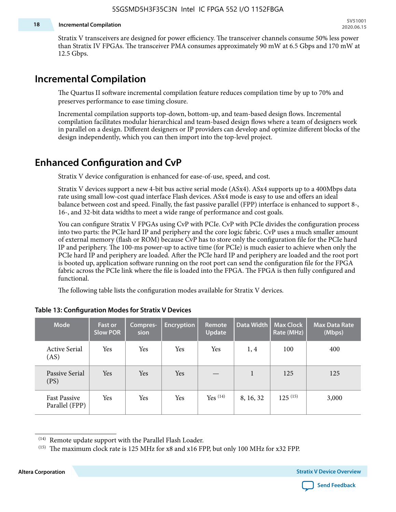#### **18 Incremental Compilation**

Stratix V transceivers are designed for power efficiency. The transceiver channels consume 50% less power than Stratix IV FPGAs. The transceiver PMA consumes approximately 90 mW at 6.5 Gbps and 170 mW at 12.5 Gbps.

### **Incremental Compilation**

The Quartus II software incremental compilation feature reduces compilation time by up to 70% and preserves performance to ease timing closure.

Incremental compilation supports top-down, bottom-up, and team-based design flows. Incremental compilation facilitates modular hierarchical and team-based design flows where a team of designers work in parallel on a design. Different designers or IP providers can develop and optimize different blocks of the design independently, which you can then import into the top-level project.

## **Enhanced Configuration and CvP**

Stratix V device configuration is enhanced for ease-of-use, speed, and cost.

Stratix V devices support a new 4-bit bus active serial mode (ASx4). ASx4 supports up to a 400Mbps data rate using small low-cost quad interface Flash devices. ASx4 mode is easy to use and offers an ideal balance between cost and speed. Finally, the fast passive parallel (FPP) interface is enhanced to support 8-, 16-, and 32-bit data widths to meet a wide range of performance and cost goals.

You can configure Stratix V FPGAs using CvP with PCIe. CvP with PCIe divides the configuration process into two parts: the PCIe hard IP and periphery and the core logic fabric. CvP uses a much smaller amount of external memory (flash or ROM) because CvP has to store only the configuration file for the PCIe hard IP and periphery. The 100-ms power-up to active time (for PCIe) is much easier to achieve when only the PCIe hard IP and periphery are loaded. After the PCIe hard IP and periphery are loaded and the root port is booted up, application software running on the root port can send the configuration file for the FPGA fabric across the PCIe link where the file is loaded into the FPGA. The FPGA is then fully configured and functional.

The following table lists the configuration modes available for Stratix V devices.

| <b>Mode</b>                           | <b>Fast or</b><br><b>Slow POR</b> | Compres-<br>sion | <b>Encryption</b> | Remote<br><b>Update</b> | Data Width | <b>Max Clock</b><br>Rate (MHz) | <b>Max Data Rate</b><br>(Mbps) |
|---------------------------------------|-----------------------------------|------------------|-------------------|-------------------------|------------|--------------------------------|--------------------------------|
| <b>Active Serial</b><br>(AS)          | Yes                               | Yes              | Yes               | Yes                     | 1, 4       | 100                            | 400                            |
| Passive Serial<br>(PS)                | Yes                               | Yes              | Yes               |                         | 1          | 125                            | 125                            |
| <b>Fast Passive</b><br>Parallel (FPP) | Yes                               | Yes              | Yes               | $Yes$ $(14)$            | 8, 16, 32  | $125^{(15)}$                   | 3,000                          |

#### **Table 13: Configuration Modes for Stratix V Devices**

<sup>(15)</sup> The maximum clock rate is 125 MHz for x8 and x16 FPP, but only 100 MHz for x32 FPP.

**Altera Corporation Stratix V Device Overview**



<sup>(14)</sup> Remote update support with the Parallel Flash Loader.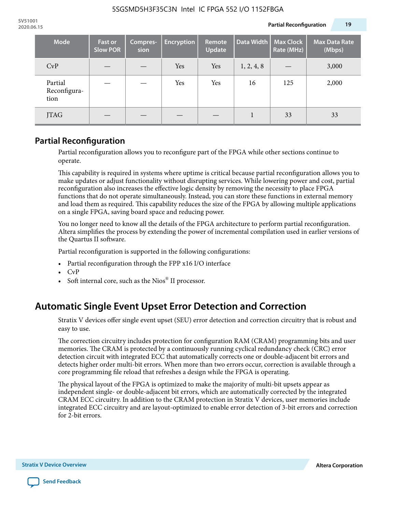| Mode                            | <b>Fast or</b><br><b>Slow POR</b> | Compres-<br>sion | <b>Encryption</b> | Remote<br><b>Update</b> | Data Width | <b>Max Clock</b><br>Rate (MHz) | <b>Max Data Rate</b><br>(Mbps) |
|---------------------------------|-----------------------------------|------------------|-------------------|-------------------------|------------|--------------------------------|--------------------------------|
| CvP                             |                                   |                  | Yes               | Yes                     | 1, 2, 4, 8 |                                | 3,000                          |
| Partial<br>Reconfigura-<br>tion |                                   |                  | Yes               | Yes                     | 16         | 125                            | 2,000                          |
| <b>JTAG</b>                     |                                   |                  |                   |                         |            | 33                             | 33                             |

### **Partial Reconfiguration**

Partial reconfiguration allows you to reconfigure part of the FPGA while other sections continue to operate.

This capability is required in systems where uptime is critical because partial reconfiguration allows you to make updates or adjust functionality without disrupting services. While lowering power and cost, partial reconfiguration also increases the effective logic density by removing the necessity to place FPGA functions that do not operate simultaneously. Instead, you can store these functions in external memory and load them as required. This capability reduces the size of the FPGA by allowing multiple applications on a single FPGA, saving board space and reducing power.

You no longer need to know all the details of the FPGA architecture to perform partial reconfiguration. Altera simplifies the process by extending the power of incremental compilation used in earlier versions of the Quartus II software.

Partial reconfiguration is supported in the following configurations:

- Partial reconfiguration through the FPP x16 I/O interface
- CvP
- Soft internal core, such as the Nios® II processor.

# **Automatic Single Event Upset Error Detection and Correction**

Stratix V devices offer single event upset (SEU) error detection and correction circuitry that is robust and easy to use.

The correction circuitry includes protection for configuration RAM (CRAM) programming bits and user memories. The CRAM is protected by a continuously running cyclical redundancy check (CRC) error detection circuit with integrated ECC that automatically corrects one or double-adjacent bit errors and detects higher order multi-bit errors. When more than two errors occur, correction is available through a core programming file reload that refreshes a design while the FPGA is operating.

The physical layout of the FPGA is optimized to make the majority of multi-bit upsets appear as independent single- or double-adjacent bit errors, which are automatically corrected by the integrated CRAM ECC circuitry. In addition to the CRAM protection in Stratix V devices, user memories include integrated ECC circuitry and are layout-optimized to enable error detection of 3-bit errors and correction for 2-bit errors.

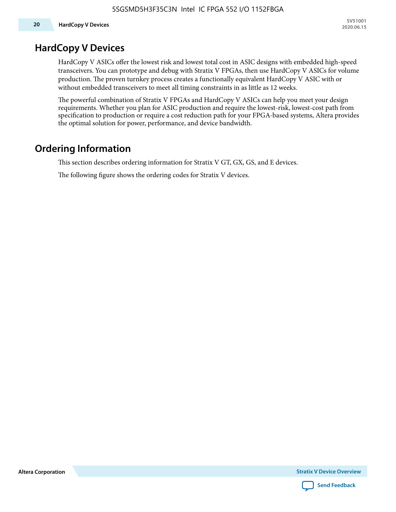### **HardCopy V Devices**

HardCopy V ASICs offer the lowest risk and lowest total cost in ASIC designs with embedded high-speed transceivers. You can prototype and debug with Stratix V FPGAs, then use HardCopy V ASICs for volume production. The proven turnkey process creates a functionally equivalent HardCopy V ASIC with or without embedded transceivers to meet all timing constraints in as little as 12 weeks.

The powerful combination of Stratix V FPGAs and HardCopy V ASICs can help you meet your design requirements. Whether you plan for ASIC production and require the lowest-risk, lowest-cost path from specification to production or require a cost reduction path for your FPGA-based systems, Altera provides the optimal solution for power, performance, and device bandwidth.

### **Ordering Information**

This section describes ordering information for Stratix V GT, GX, GS, and E devices.

The following figure shows the ordering codes for Stratix V devices.

**Altera Corporation** 

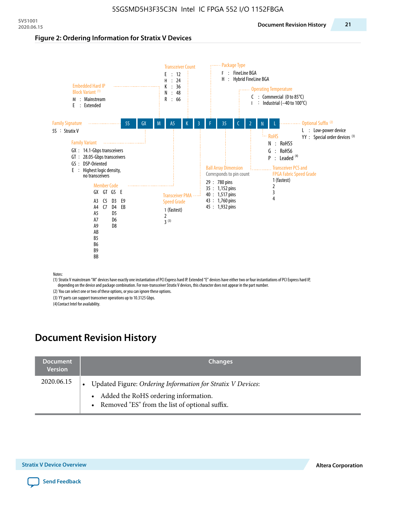#### **Figure 2: Ordering Information for Stratix V Devices**



(1) Stratix V mainstream "M" devices have exactly one instantiation of PCI Express hard IP. Extended "E" devices have either two or four instantiations of PCI Express hard IP, depending on the device and package combination. For non-transceiver Stratix V devices, this character does not appear in the part number.

(2) You can select one or two of these options, or you can ignore these options.

(3) YY parts can support transceiver operations up to 10.3125 Gbps.

(4) Contact Intel for availability.

# **Document Revision History**

| <b>Document</b><br><b>Version</b> | <b>Changes</b>                                                                                                                                            |
|-----------------------------------|-----------------------------------------------------------------------------------------------------------------------------------------------------------|
| 2020.06.15                        | Updated Figure: Ordering Information for Stratix V Devices:<br>• Added the RoHS ordering information.<br>• Removed "ES" from the list of optional suffix. |

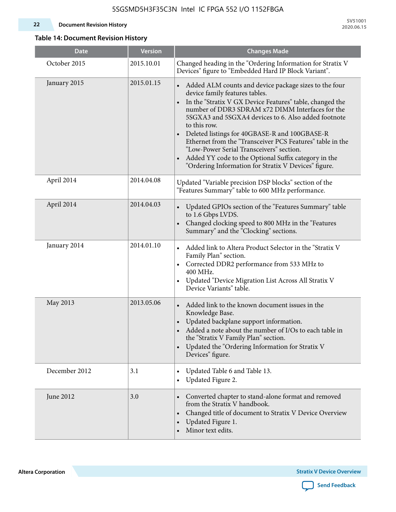#### **22 Document Revision History**

**SV51001 2020.06.15**

### **Table 14: Document Revision History**

| <b>Date</b>   | <b>Version</b> | <b>Changes Made</b>                                                                                                                                                                                                                                                                                                                                                                                                                                                                                                                                                                             |
|---------------|----------------|-------------------------------------------------------------------------------------------------------------------------------------------------------------------------------------------------------------------------------------------------------------------------------------------------------------------------------------------------------------------------------------------------------------------------------------------------------------------------------------------------------------------------------------------------------------------------------------------------|
| October 2015  | 2015.10.01     | Changed heading in the "Ordering Information for Stratix V<br>Devices" figure to "Embedded Hard IP Block Variant".                                                                                                                                                                                                                                                                                                                                                                                                                                                                              |
| January 2015  | 2015.01.15     | Added ALM counts and device package sizes to the four<br>$\bullet$<br>device family features tables.<br>In the "Stratix V GX Device Features" table, changed the<br>$\bullet$<br>number of DDR3 SDRAM x72 DIMM Interfaces for the<br>5SGXA3 and 5SGXA4 devices to 6. Also added footnote<br>to this row.<br>Deleted listings for 40GBASE-R and 100GBASE-R<br>Ethernet from the "Transceiver PCS Features" table in the<br>"Low-Power Serial Transceivers" section.<br>Added YY code to the Optional Suffix category in the<br>$\bullet$<br>"Ordering Information for Stratix V Devices" figure. |
| April 2014    | 2014.04.08     | Updated "Variable precision DSP blocks" section of the<br>"Features Summary" table to 600 MHz performance.                                                                                                                                                                                                                                                                                                                                                                                                                                                                                      |
| April 2014    | 2014.04.03     | Updated GPIOs section of the "Features Summary" table<br>$\bullet$<br>to 1.6 Gbps LVDS.<br>Changed clocking speed to 800 MHz in the "Features<br>Summary" and the "Clocking" sections.                                                                                                                                                                                                                                                                                                                                                                                                          |
| January 2014  | 2014.01.10     | Added link to Altera Product Selector in the "Stratix V<br>Family Plan" section.<br>Corrected DDR2 performance from 533 MHz to<br>$\bullet$<br>400 MHz.<br>Updated "Device Migration List Across All Stratix V<br>Device Variants" table.                                                                                                                                                                                                                                                                                                                                                       |
| May 2013      | 2013.05.06     | Added link to the known document issues in the<br>Knowledge Base.<br>Updated backplane support information.<br>$\bullet$<br>Added a note about the number of I/Os to each table in<br>the "Stratix V Family Plan" section.<br>Updated the "Ordering Information for Stratix V<br>$\bullet$<br>Devices" figure.                                                                                                                                                                                                                                                                                  |
| December 2012 | 3.1            | Updated Table 6 and Table 13.<br>$\bullet$<br>Updated Figure 2.<br>$\bullet$                                                                                                                                                                                                                                                                                                                                                                                                                                                                                                                    |
| June 2012     | 3.0            | Converted chapter to stand-alone format and removed<br>from the Stratix V handbook.<br>Changed title of document to Stratix V Device Overview<br>$\bullet$<br>Updated Figure 1.<br>$\bullet$<br>Minor text edits.                                                                                                                                                                                                                                                                                                                                                                               |

**Altera Corporation** 

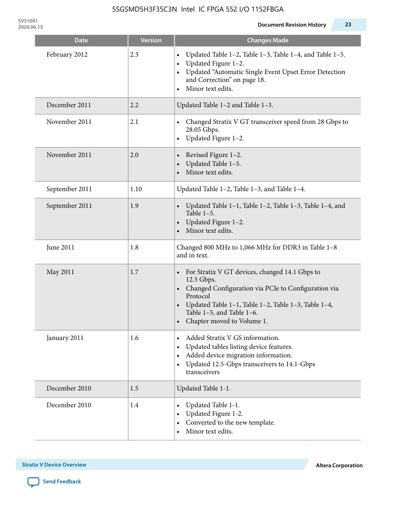| <b>Date</b>    | <b>Version</b> | <b>Changes Made</b>                                                                                                                                                                                                                                 |
|----------------|----------------|-----------------------------------------------------------------------------------------------------------------------------------------------------------------------------------------------------------------------------------------------------|
| February 2012  | 2.3            | Updated Table 1-2, Table 1-3, Table 1-4, and Table 1-5.<br>Updated Figure 1-2.<br>Updated "Automatic Single Event Upset Error Detection<br>and Correction" on page 18.<br>Minor text edits.                                                         |
| December 2011  | 2.2            | Updated Table 1-2 and Table 1-3.                                                                                                                                                                                                                    |
| November 2011  | 2.1            | Changed Stratix V GT transceiver speed from 28 Gbps to<br>28.05 Gbps.<br>Updated Figure 1-2.<br>$\bullet$                                                                                                                                           |
| November 2011  | 2.0            | Revised Figure 1-2.<br>Updated Table 1-5.<br>Minor text edits.                                                                                                                                                                                      |
| September 2011 | 1.10           | Updated Table 1-2, Table 1-3, and Table 1-4.                                                                                                                                                                                                        |
| September 2011 | 1.9            | Updated Table 1-1, Table 1-2, Table 1-3, Table 1-4, and<br>Table $1-5$ .<br>Updated Figure 1-2.<br>Minor text edits.                                                                                                                                |
| June 2011      | 1.8            | Changed 800 MHz to 1,066 MHz for DDR3 in Table 1-8<br>and in text.                                                                                                                                                                                  |
| May 2011       | 1.7            | For Stratix V GT devices, changed 14.1 Gbps to<br>12.5 Gbps.<br>• Changed Configuration via PCIe to Configuration via<br>Protocol<br>Updated Table 1–1, Table 1–2, Table 1–3, Table 1–4,<br>Table 1-5, and Table 1-6.<br>Chapter moved to Volume 1. |
| January 2011   | 1.6            | Added Stratix V GS information.<br>Updated tables listing device features.<br>Added device migration information.<br>$\bullet$<br>Updated 12.5-Gbps transceivers to 14.1-Gbps<br>$\bullet$<br>transceivers                                          |
| December 2010  | 1.5            | Updated Table 1-1.                                                                                                                                                                                                                                  |
| December 2010  | 1.4            | Updated Table 1-1.<br>Updated Figure 1-2.<br>Converted to the new template.<br>Minor text edits.                                                                                                                                                    |

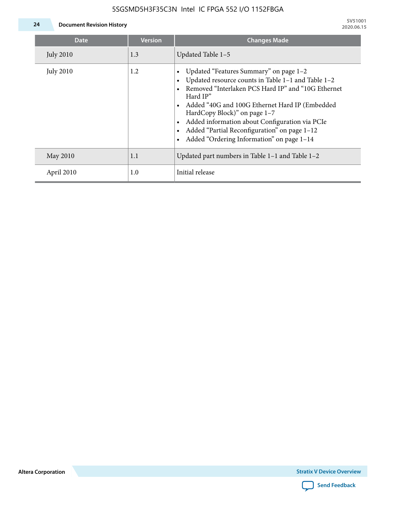

| <b>Date</b>      | <b>Version</b> | <b>Changes Made</b>                                                                                                                                                                                                                                                                                                                                                                             |
|------------------|----------------|-------------------------------------------------------------------------------------------------------------------------------------------------------------------------------------------------------------------------------------------------------------------------------------------------------------------------------------------------------------------------------------------------|
| <b>July 2010</b> | 1.3            | Updated Table 1-5                                                                                                                                                                                                                                                                                                                                                                               |
| <b>July 2010</b> | 1.2            | Updated "Features Summary" on page 1-2<br>Updated resource counts in Table 1-1 and Table 1-2<br>Removed "Interlaken PCS Hard IP" and "10G Ethernet<br>Hard IP"<br>Added "40G and 100G Ethernet Hard IP (Embedded<br>HardCopy Block)" on page 1-7<br>Added information about Configuration via PCIe<br>Added "Partial Reconfiguration" on page 1-12<br>Added "Ordering Information" on page 1-14 |
| May 2010         | 1.1            | Updated part numbers in Table $1-1$ and Table $1-2$                                                                                                                                                                                                                                                                                                                                             |
| April 2010       | 1.0            | Initial release                                                                                                                                                                                                                                                                                                                                                                                 |

**Altera Corporation**